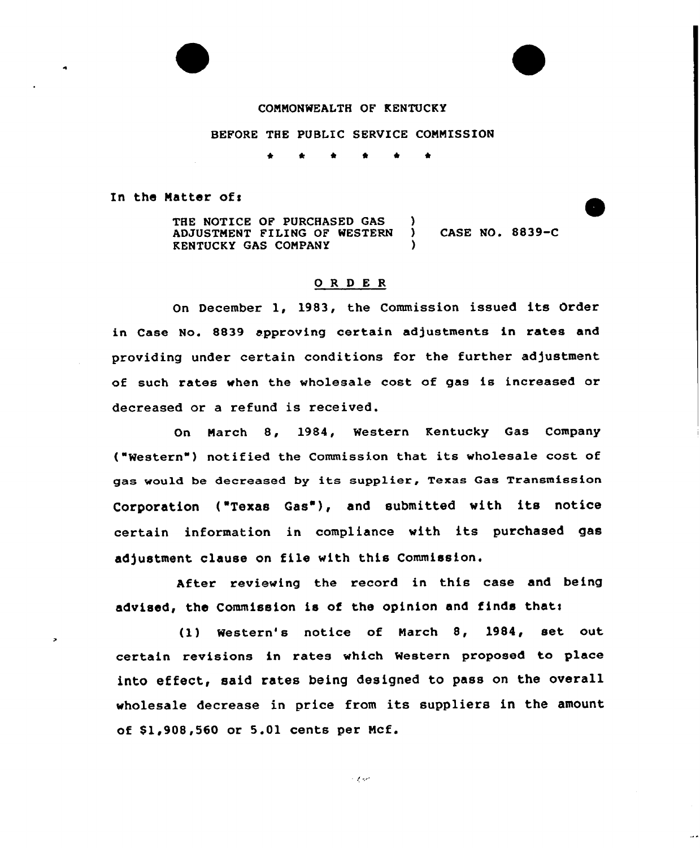## COMMONWEALTH OF KENTUCKY

### BEFORE THE PUBLIC SERUICE COMMISSION

\* \* \* \* \*

In the Matter of:

THE NOTICE OF PURCHASED GAS (3) ADJUSTMENT FILING OF WESTERN ) CASE NO. 8839-C KENTUCKY GAS COMPANY )

# 0 <sup>R</sup> <sup>D</sup> <sup>E</sup> <sup>R</sup>

On December 1, 1983, the Commission issued its Order in Case No. 8839 approving certain adjustments in rates and providing under certain conditions for the further adjustment of such rates when the wholesale cost of gas is increased or decreased or a refund is received.

On March 8, 1984, Western Kentucky Gas Company ("Western") notified the Commission that its wholesale cost of gas would be decreased by its supplier, Texas Gas Transmission Corporation ( Texas Gas"), and submitted with its notice certain information in compliance with its purchased gas adjustment clause on file with this Commission.

After reviewing the record in this case and being advised, the Commission is of the opinion and finds thats

(1) Western's notice of March 8, 1984, set out certain revisions in rates which Western proposed to place into effect, said rates being designed to pass on the overall wholesale decrease in price from its suppliers in the amount of \$1,908,560 or 5.01 cents per Mcf.

 $\sim$  1 and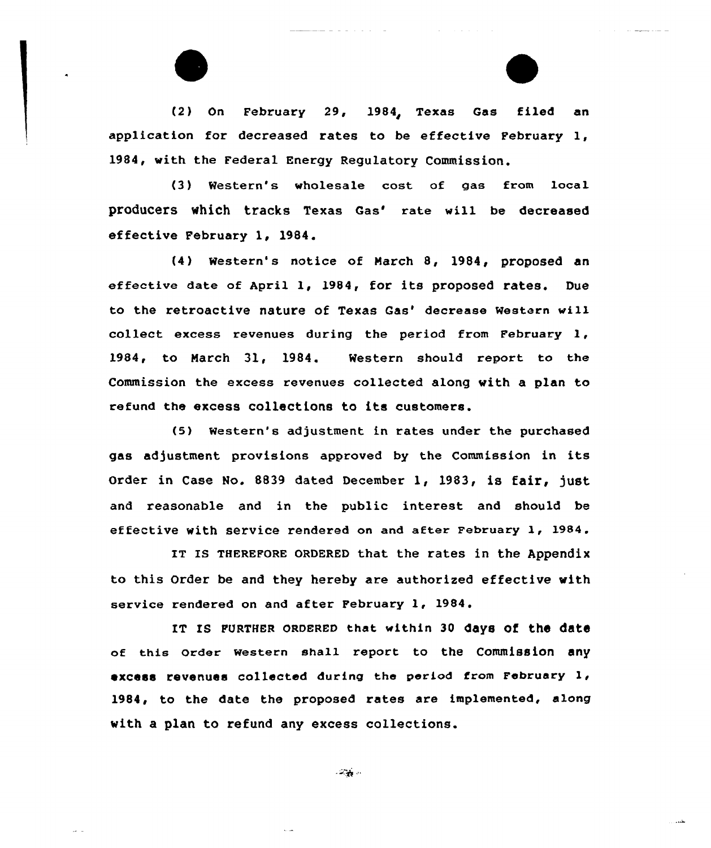(2) On February 29, 1984, Texas Gas filed an application for decreased rates to be effective February 1, 1984, with the Federal Energy Regulatory Commission.

and the company

**Service Communication** 

(3) Western's wholesale cost of gas from local producers which tracks Texas Gas' rate will be decreased effective February 1, 1984.

(4) Western's notice of March 8, 1984, proposed an effective date of April 1, 1984, for its proposed rates. Due to the retroactive nature of Texas Gas' decrease Western will collect excess revenues during the period from February 1, 1984, to March 31, 1984. Western should report to the Commission the excess revenues collected along with a plan to refund the excess collections to its customers.

(5) Western's adjustment in rates under the purchased gas adjustment provisions approved by the Commission in its Order in Case No. 8839 dated December 1, 1983, is fair, just and reasonable and in the public interest and should be effective with service rendered on and after February 1, 1984.

IT Is THEREF0RE 0RDERED that the rates in the Appendix to this Order be and they hereby are authorized effective with service rendered on and after February 1, 1984.

IT IS FURTHER ORDERED that within 30 days of the date of this order western shall report to the Commission any excess revenues collected during the period from February 1, 1984, to the date the proposed rates are implemented, along with a plan to refund any excess collections.

 $-27.6$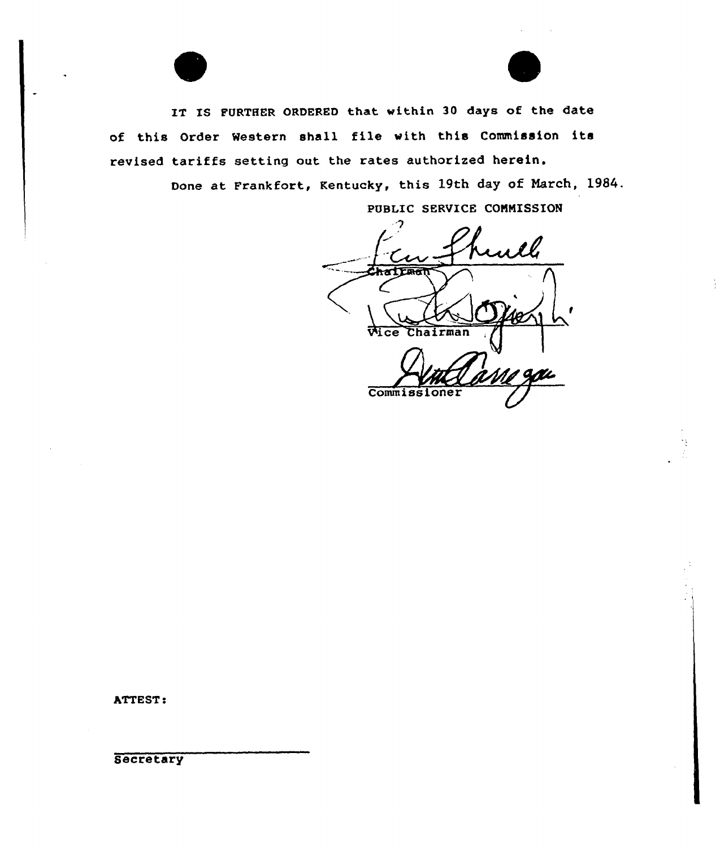IT IS FURTHER ORDERED that within 30 days of the date of this Order Western shall file vith this Commission its revised tariffs setting out the rates authorized herein.

Done at Frankfort, Kentucky, this 19th day of March, 1984.

PUBLIC SERVICE CONNISSION

ar 2li TIRK **Wice** Chairman Commissioner

ATTEST:

Secretary